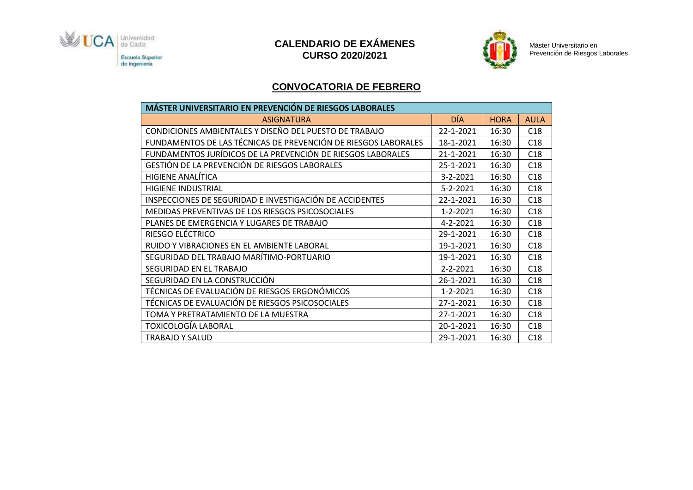

# **CALENDARIO DE EXÁMENES CURSO 2020/2021**



Máster Universitario en Prevención de Riesgos Laborales

### **CONVOCATORIA DE FEBRERO**

| <b>MÁSTER UNIVERSITARIO EN PREVENCIÓN DE RIESGOS LABORALES</b> |                |             |             |  |  |
|----------------------------------------------------------------|----------------|-------------|-------------|--|--|
| <b>ASIGNATURA</b>                                              | DÍA            | <b>HORA</b> | <b>AULA</b> |  |  |
| CONDICIONES AMBIENTALES Y DISEÑO DEL PUESTO DE TRABAJO         | 22-1-2021      | 16:30       | C18         |  |  |
| FUNDAMENTOS DE LAS TÉCNICAS DE PREVENCIÓN DE RIESGOS LABORALES | 18-1-2021      | 16:30       | C18         |  |  |
| FUNDAMENTOS JURÍDICOS DE LA PREVENCIÓN DE RIESGOS LABORALES    | 21-1-2021      | 16:30       | C18         |  |  |
| GESTIÓN DE LA PREVENCIÓN DE RIESGOS LABORALES                  | 25-1-2021      | 16:30       | C18         |  |  |
| <b>HIGIENE ANALÍTICA</b>                                       | $3 - 2 - 2021$ | 16:30       | C18         |  |  |
| <b>HIGIENE INDUSTRIAL</b>                                      | $5 - 2 - 2021$ | 16:30       | C18         |  |  |
| INSPECCIONES DE SEGURIDAD E INVESTIGACIÓN DE ACCIDENTES        | 22-1-2021      | 16:30       | C18         |  |  |
| MEDIDAS PREVENTIVAS DE LOS RIESGOS PSICOSOCIALES               | $1 - 2 - 2021$ | 16:30       | C18         |  |  |
| PLANES DE EMERGENCIA Y LUGARES DE TRABAJO                      | 4-2-2021       | 16:30       | C18         |  |  |
| RIESGO ELÉCTRICO                                               | 29-1-2021      | 16:30       | C18         |  |  |
| RUIDO Y VIBRACIONES EN EL AMBIENTE LABORAL                     | 19-1-2021      | 16:30       | C18         |  |  |
| SEGURIDAD DEL TRABAJO MARÍTIMO-PORTUARIO                       | 19-1-2021      | 16:30       | C18         |  |  |
| SEGURIDAD EN EL TRABAJO                                        | $2 - 2 - 2021$ | 16:30       | C18         |  |  |
| SEGURIDAD EN LA CONSTRUCCIÓN                                   | 26-1-2021      | 16:30       | C18         |  |  |
| TÉCNICAS DE EVALUACIÓN DE RIESGOS ERGONÓMICOS                  | $1 - 2 - 2021$ | 16:30       | C18         |  |  |
| TÉCNICAS DE EVALUACIÓN DE RIESGOS PSICOSOCIALES                | 27-1-2021      | 16:30       | C18         |  |  |
| TOMA Y PRETRATAMIENTO DE LA MUESTRA                            | 27-1-2021      | 16:30       | C18         |  |  |
| TOXICOLOGÍA LABORAL                                            | 20-1-2021      | 16:30       | C18         |  |  |
| TRABAJO Y SALUD                                                | 29-1-2021      | 16:30       | C18         |  |  |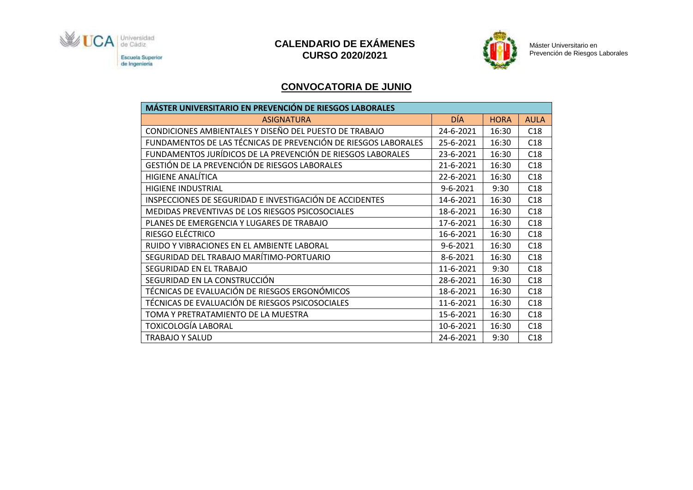

# **CALENDARIO DE EXÁMENES CURSO 2020/2021**



Máster Universitario en Prevención de Riesgos Laborales

### **CONVOCATORIA DE JUNIO**

| <b>MÁSTER UNIVERSITARIO EN PREVENCIÓN DE RIESGOS LABORALES</b> |                |             |             |  |  |
|----------------------------------------------------------------|----------------|-------------|-------------|--|--|
| <b>ASIGNATURA</b>                                              | DÍA            | <b>HORA</b> | <b>AULA</b> |  |  |
| CONDICIONES AMBIENTALES Y DISEÑO DEL PUESTO DE TRABAJO         | 24-6-2021      | 16:30       | C18         |  |  |
| FUNDAMENTOS DE LAS TÉCNICAS DE PREVENCIÓN DE RIESGOS LABORALES | 25-6-2021      | 16:30       | C18         |  |  |
| FUNDAMENTOS JURÍDICOS DE LA PREVENCIÓN DE RIESGOS LABORALES    | 23-6-2021      | 16:30       | C18         |  |  |
| GESTIÓN DE LA PREVENCIÓN DE RIESGOS LABORALES                  | 21-6-2021      | 16:30       | C18         |  |  |
| <b>HIGIENE ANALÍTICA</b>                                       | 22-6-2021      | 16:30       | C18         |  |  |
| <b>HIGIENE INDUSTRIAL</b>                                      | $9 - 6 - 2021$ | 9:30        | C18         |  |  |
| INSPECCIONES DE SEGURIDAD E INVESTIGACIÓN DE ACCIDENTES        | 14-6-2021      | 16:30       | C18         |  |  |
| MEDIDAS PREVENTIVAS DE LOS RIESGOS PSICOSOCIALES               | 18-6-2021      | 16:30       | C18         |  |  |
| PLANES DE EMERGENCIA Y LUGARES DE TRABAJO                      | 17-6-2021      | 16:30       | C18         |  |  |
| RIESGO ELÉCTRICO                                               | 16-6-2021      | 16:30       | C18         |  |  |
| RUIDO Y VIBRACIONES EN EL AMBIENTE LABORAL                     | $9 - 6 - 2021$ | 16:30       | C18         |  |  |
| SEGURIDAD DEL TRABAJO MARÍTIMO-PORTUARIO                       | 8-6-2021       | 16:30       | C18         |  |  |
| SEGURIDAD EN EL TRABAJO                                        | 11-6-2021      | 9:30        | C18         |  |  |
| SEGURIDAD EN LA CONSTRUCCIÓN                                   | 28-6-2021      | 16:30       | C18         |  |  |
| TÉCNICAS DE EVALUACIÓN DE RIESGOS ERGONÓMICOS                  | 18-6-2021      | 16:30       | C18         |  |  |
| TÉCNICAS DE EVALUACIÓN DE RIESGOS PSICOSOCIALES                | 11-6-2021      | 16:30       | C18         |  |  |
| TOMA Y PRETRATAMIENTO DE LA MUESTRA                            | 15-6-2021      | 16:30       | C18         |  |  |
| <b>TOXICOLOGÍA LABORAL</b>                                     | 10-6-2021      | 16:30       | C18         |  |  |
| <b>TRABAJO Y SALUD</b>                                         | 24-6-2021      | 9:30        | C18         |  |  |